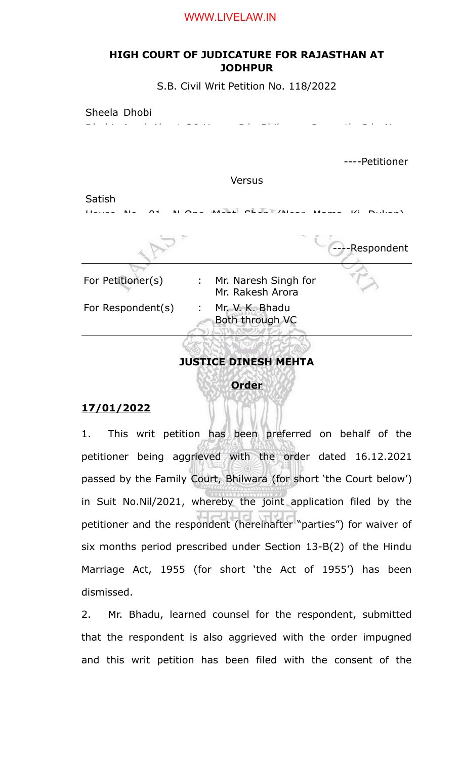#### WWW.LIVELAW.IN

## **HIGH COURT OF JUDICATURE FOR RAJASTHAN AT JODHPUR**

S.B. Civil Writ Petition No. 118/2022



# **Order**

### **17/01/2022**

1. This writ petition has been preferred on behalf of the petitioner being aggrieved with the order dated 16.12.2021 passed by the Family Court, Bhilwara (for short 'the Court below') in Suit No.Nil/2021, whereby the joint application filed by the petitioner and the respondent (hereinafter "parties") for waiver of six months period prescribed under Section 13-B(2) of the Hindu Marriage Act, 1955 (for short 'the Act of 1955') has been dismissed.

2. Mr. Bhadu, learned counsel for the respondent, submitted that the respondent is also aggrieved with the order impugned and this writ petition has been filed with the consent of the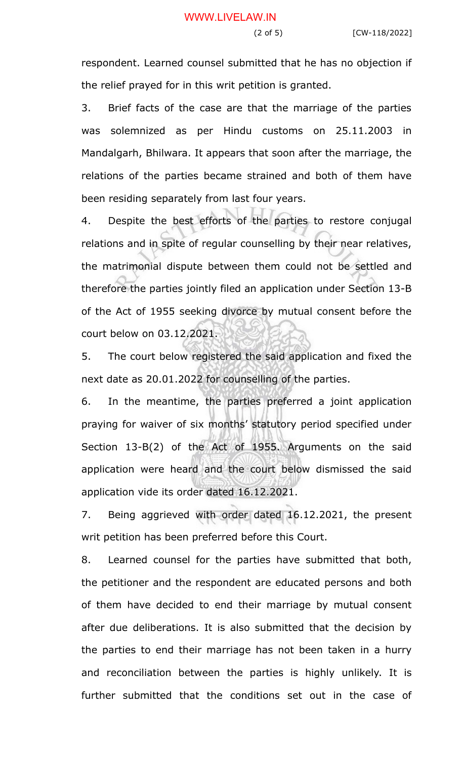respondent. Learned counsel submitted that he has no objection if the relief prayed for in this writ petition is granted.

3. Brief facts of the case are that the marriage of the parties was solemnized as per Hindu customs on 25.11.2003 in Mandalgarh, Bhilwara. It appears that soon after the marriage, the relations of the parties became strained and both of them have been residing separately from last four years.

4. Despite the best efforts of the parties to restore conjugal relations and in spite of regular counselling by their near relatives, the matrimonial dispute between them could not be settled and therefore the parties jointly filed an application under Section 13-B of the Act of 1955 seeking divorce by mutual consent before the court below on 03.12.2021.

5. The court below registered the said application and fixed the next date as 20.01.2022 for counselling of the parties.

6. In the meantime, the parties preferred a joint application praying for waiver of six months' statutory period specified under Section 13-B(2) of the Act of 1955. Arguments on the said application were heard and the court below dismissed the said application vide its order dated 16.12.2021.

7. Being aggrieved with order dated 16.12.2021, the present writ petition has been preferred before this Court.

8. Learned counsel for the parties have submitted that both, the petitioner and the respondent are educated persons and both of them have decided to end their marriage by mutual consent after due deliberations. It is also submitted that the decision by the parties to end their marriage has not been taken in a hurry and reconciliation between the parties is highly unlikely. It is further submitted that the conditions set out in the case of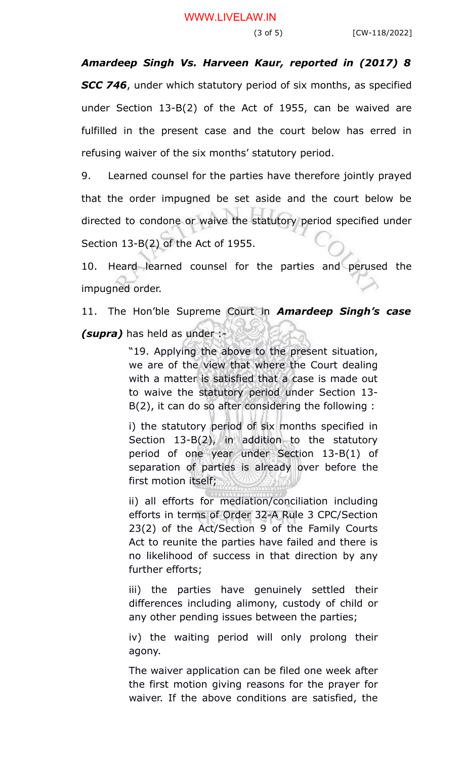*Amardeep Singh Vs. Harveen Kaur, reported in (2017) 8 SCC 746*, under which statutory period of six months, as specified under Section 13-B(2) of the Act of 1955, can be waived are fulfilled in the present case and the court below has erred in refusing waiver of the six months' statutory period.

9. Learned counsel for the parties have therefore jointly prayed that the order impugned be set aside and the court below be directed to condone or waive the statutory period specified under Section 13-B(2) of the Act of 1955.

10. Heard learned counsel for the parties and perused the impugned order.

11. The Hon'ble Supreme Court in *Amardeep Singh's case*

*(supra)* has held as under :-

"19. Applying the above to the present situation, we are of the view that where the Court dealing with a matter is satisfied that a case is made out to waive the statutory period under Section 13- B(2), it can do so after considering the following :

i) the statutory period of six months specified in Section 13-B(2), in addition to the statutory period of one year under Section 13-B(1) of separation of parties is already over before the first motion itself;

ii) all efforts for mediation/conciliation including efforts in terms of Order 32-A Rule 3 CPC/Section 23(2) of the Act/Section 9 of the Family Courts Act to reunite the parties have failed and there is no likelihood of success in that direction by any further efforts;

iii) the parties have genuinely settled their differences including alimony, custody of child or any other pending issues between the parties;

iv) the waiting period will only prolong their agony.

The waiver application can be filed one week after the first motion giving reasons for the prayer for waiver. If the above conditions are satisfied, the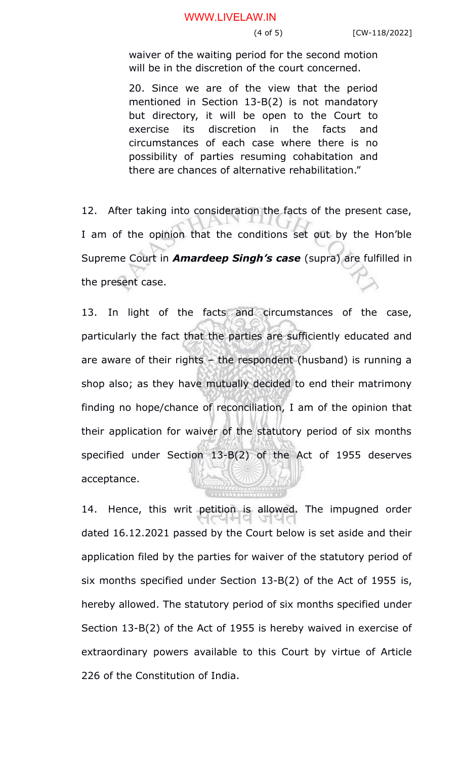#### WWW.LIVELAW.IN

waiver of the waiting period for the second motion will be in the discretion of the court concerned.

20. Since we are of the view that the period mentioned in Section 13-B(2) is not mandatory but directory, it will be open to the Court to exercise its discretion in the facts and circumstances of each case where there is no possibility of parties resuming cohabitation and there are chances of alternative rehabilitation."

12. After taking into consideration the facts of the present case, I am of the opinion that the conditions set out by the Hon'ble Supreme Court in *Amardeep Singh's case* (supra) are fulfilled in the present case.

13. In light of the facts and circumstances of the case, particularly the fact that the parties are sufficiently educated and are aware of their rights – the respondent (husband) is running a shop also; as they have mutually decided to end their matrimony finding no hope/chance of reconciliation, I am of the opinion that their application for waiver of the statutory period of six months specified under Section 13-B(2) of the Act of 1955 deserves acceptance.

14. Hence, this writ petition is allowed. The impugned order dated 16.12.2021 passed by the Court below is set aside and their application filed by the parties for waiver of the statutory period of six months specified under Section 13-B(2) of the Act of 1955 is, hereby allowed. The statutory period of six months specified under Section 13-B(2) of the Act of 1955 is hereby waived in exercise of extraordinary powers available to this Court by virtue of Article 226 of the Constitution of India.